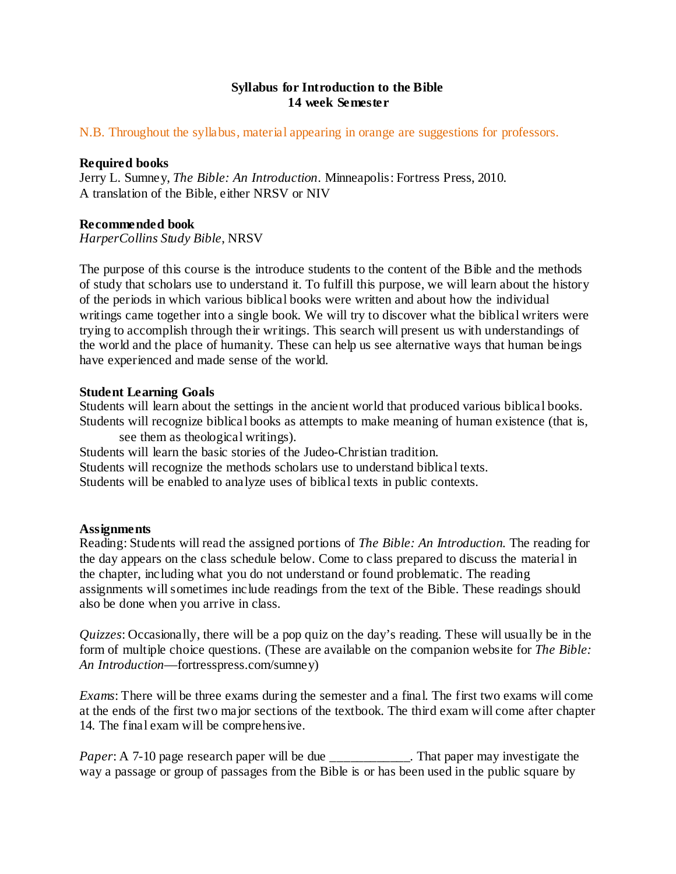# **Syllabus for Introduction to the Bible 14 week Semester**

### N.B. Throughout the syllabus, material appearing in orange are suggestions for professors.

#### **Required books**

Jerry L. Sumney, *The Bible: An Introduction*. Minneapolis: Fortress Press, 2010. A translation of the Bible, either NRSV or NIV

### **Recommended book**

*HarperCollins Study Bible*, NRSV

The purpose of this course is the introduce students to the content of the Bible and the methods of study that scholars use to understand it. To fulfill this purpose, we will learn about the history of the periods in which various biblical books were written and about how the individual writings came together into a single book. We will try to discover what the biblical writers were trying to accomplish through their writings. This search will present us with understandings of the world and the place of humanity. These can help us see alternative ways that human beings have experienced and made sense of the world.

### **Student Learning Goals**

Students will learn about the settings in the ancient world that produced various biblical books. Students will recognize biblical books as attempts to make meaning of human existence (that is,

see them as theological writings). Students will learn the basic stories of the Judeo-Christian tradition. Students will recognize the methods scholars use to understand biblical texts. Students will be enabled to analyze uses of biblical texts in public contexts.

#### **Assignments**

Reading: Students will read the assigned portions of *The Bible: An Introduction*. The reading for the day appears on the class schedule below. Come to class prepared to discuss the material in the chapter, including what you do not understand or found problematic. The reading assignments will sometimes include readings from the text of the Bible. These readings should also be done when you arrive in class.

*Quizzes*: Occasionally, there will be a pop quiz on the day's reading. These will usually be in the form of multiple choice questions. (These are available on the companion website for *The Bible: An Introduction*—fortresspress.com/sumney)

*Exams*: There will be three exams during the semester and a final. The first two exams will come at the ends of the first two major sections of the textbook. The third exam will come after chapter 14. The final exam will be comprehensive.

*Paper*: A 7-10 page research paper will be due \_\_\_\_\_\_\_\_\_\_\_\_. That paper may investigate the way a passage or group of passages from the Bible is or has been used in the public square by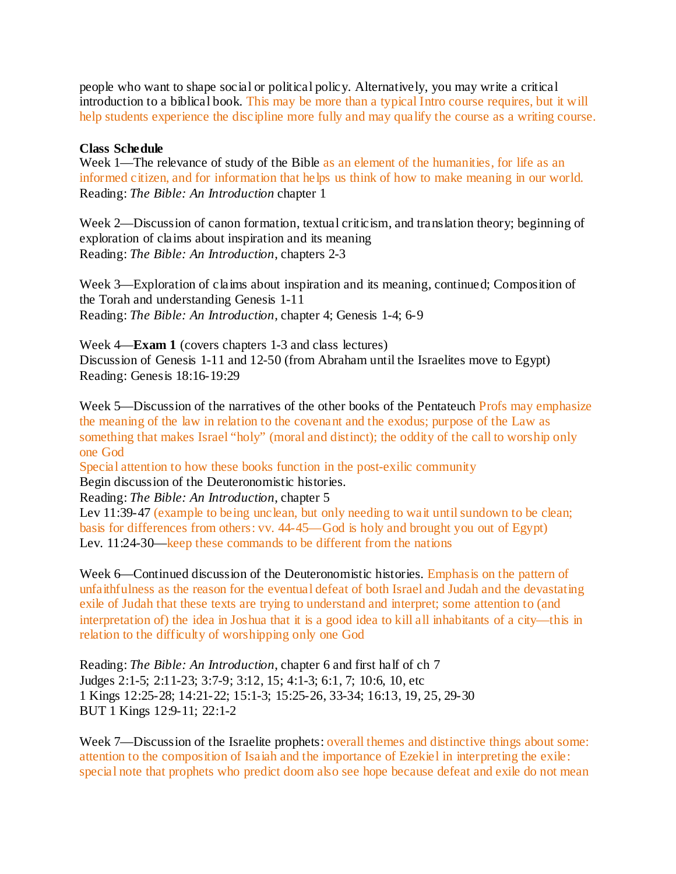people who want to shape social or political policy. Alternatively, you may write a critical introduction to a biblical book. This may be more than a typical Intro course requires, but it will help students experience the discipline more fully and may qualify the course as a writing course.

## **Class Schedule**

Week 1—The relevance of study of the Bible as an element of the humanities, for life as an informed citizen, and for information that helps us think of how to make meaning in our world. Reading: *The Bible: An Introduction* chapter 1

Week 2—Discussion of canon formation, textual criticism, and translation theory; beginning of exploration of claims about inspiration and its meaning Reading: *The Bible: An Introduction*, chapters 2-3

Week 3—Exploration of claims about inspiration and its meaning, continued; Composition of the Torah and understanding Genesis 1-11 Reading: *The Bible: An Introduction*, chapter 4; Genesis 1-4; 6-9

Week 4—**Exam 1** (covers chapters 1-3 and class lectures) Discussion of Genesis 1-11 and 12-50 (from Abraham until the Israelites move to Egypt) Reading: Genesis 18:16-19:29

Week 5—Discussion of the narratives of the other books of the Pentateuch Profs may emphasize the meaning of the law in relation to the covenant and the exodus; purpose of the Law as something that makes Israel "holy" (moral and distinct); the oddity of the call to worship only one God

Special attention to how these books function in the post-exilic community Begin discussion of the Deuteronomistic histories.

Reading: *The Bible: An Introduction*, chapter 5

Lev 11:39-47 (example to being unclean, but only needing to wait until sundown to be clean; basis for differences from others: vv. 44-45—God is holy and brought you out of Egypt) Lev. 11:24-30—keep these commands to be different from the nations

Week 6—Continued discussion of the Deuteronomistic histories. Emphasis on the pattern of unfaithfulness as the reason for the eventual defeat of both Israel and Judah and the devastating exile of Judah that these texts are trying to understand and interpret; some attention to (and interpretation of) the idea in Joshua that it is a good idea to kill all inhabitants of a city—this in relation to the difficulty of worshipping only one God

Reading: *The Bible: An Introduction*, chapter 6 and first half of ch 7 Judges 2:1-5; 2:11-23; 3:7-9; 3:12, 15; 4:1-3; 6:1, 7; 10:6, 10, etc 1 Kings 12:25-28; 14:21-22; 15:1-3; 15:25-26, 33-34; 16:13, 19, 25, 29-30 BUT 1 Kings 12:9-11; 22:1-2

Week 7—Discussion of the Israelite prophets: overall themes and distinctive things about some: attention to the composition of Isaiah and the importance of Ezekiel in interpreting the exile: special note that prophets who predict doom also see hope because defeat and exile do not mean